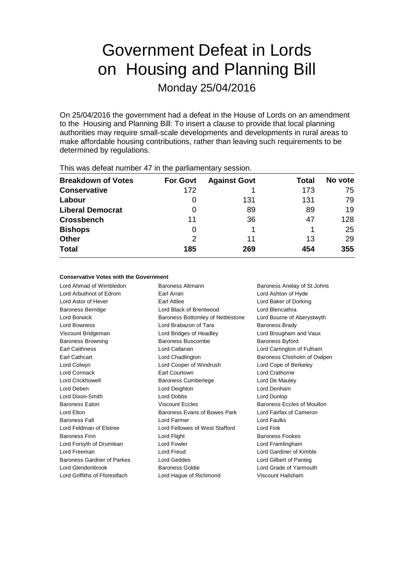# Government Defeat in Lords on Housing and Planning Bill

Monday 25/04/2016

On 25/04/2016 the government had a defeat in the House of Lords on an amendment to the Housing and Planning Bill: To insert a clause to provide that local planning authorities may require small-scale developments and developments in rural areas to make affordable housing contributions, rather than leaving such requirements to be determined by regulations.

| <b>Breakdown of Votes</b> | <b>For Govt</b> | <b>Against Govt</b> | Total | No vote |
|---------------------------|-----------------|---------------------|-------|---------|
| <b>Conservative</b>       | 172             |                     | 173   | 75      |
| Labour                    | 0               | 131                 | 131   | 79      |
| <b>Liberal Democrat</b>   | 0               | 89                  | 89    | 19      |
| <b>Crossbench</b>         | 11              | 36                  | 47    | 128     |
| <b>Bishops</b>            | 0               |                     |       | 25      |
| Other                     | 2               | 11                  | 13    | 29      |
| <b>Total</b>              | 185             | 269                 | 454   | 355     |
|                           |                 |                     |       |         |

This was defeat number 47 in the parliamentary session.

#### **Conservative Votes with the Government**

Lord Ahmad of Wimbledon Baroness Altmann Baroness Anelay of St Johns Lord Arbuthnot of Edrom Earl Arran Lord Ashton of Hyde Lord Astor of Hever Earl Attlee Lord Baker of Dorking Baroness Berridge Lord Black of Brentwood Lord Blencathra Lord Borwick **Baroness Bottomley of Nettlestone** Lord Bourne of Aberystwyth Lord Bowness **Lord Brabazon of Tara** Baroness Brady Viscount Bridgeman Lord Bridges of Headley Lord Brougham and Vaux Baroness Browning Baroness Buscombe Baroness Byford Earl Caithness Lord Callanan Lord Carrington of Fulham Earl Cathcart Lord Chadlington Baroness Chisholm of Owlpen Lord Colwyn Lord Cooper of Windrush Lord Cope of Berkeley Lord Cormack Earl Courtown Lord Crathorne Lord Crickhowell **Baroness Cumberlege** Lord De Mauley Lord Deben Lord Deighton Lord Denham Lord Dixon-Smith Lord Dobbs Lord Dunlop Baroness Eaton **Baroness Exclusive Baroness Eccles** Baroness Eccles of Moulton Lord Elton Baroness Evans of Bowes Park Lord Fairfax of Cameron Baroness Fall Lord Farmer Lord Faulks Lord Feldman of Elstree Lord Fellowes of West Stafford Lord Fink Baroness Finn **Baroness Fookes** Lord Flight **Baroness Fookes** Lord Forsyth of Drumlean Lord Fowler Lord Framlingham Lord Freeman Lord Freud Lord Gardiner of Kimble Baroness Gardner of Parkes Lord Geddes Lord Gilbert of Panteg Lord Glendonbrook Baroness Goldie Lord Grade of Yarmouth Lord Griffiths of Fforestfach Lord Hague of Richmond Viscount Hailsham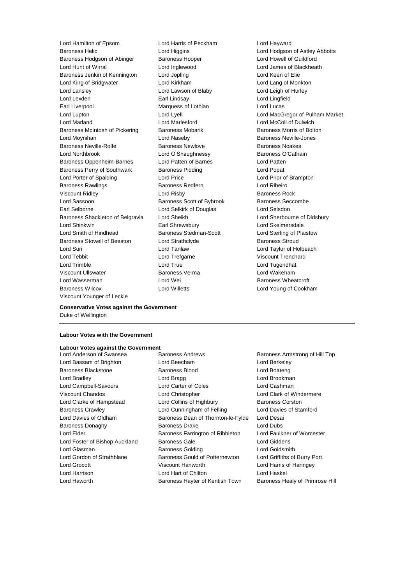Lord Hamilton of Epsom Lord Harris of Peckham Lord Hayward Baroness Helic Lord Higgins Lord Higgins Lord Hodgson of Astley Abbotts<br>
Baroness Hodgson of Abinger Baroness Hooper Lord Howell of Guildford Baroness Hodgson of Abinger Baroness Hooper Lord Howell of Guildford Lord Hunt of Wirral Lord Inglewood Lord James of Blackheath Baroness Jenkin of Kennington Lord Jopling Corporation Lord Keen of Elie Lord King of Bridgwater Lord Kirkham Lord Lang of Monkton Lord Lansley Lord Lawson of Blaby Lord Leigh of Hurley Lord Lexden **Earl Lindsay** Early Lord Lingfield Earl Liverpool Marquess of Lothian Lord Lucas Lord Lupton Lord Lyell Lord MacGregor of Pulham Market Lord Marland Lord Marlesford Lord McColl of Dulwich Baroness McIntosh of Pickering Baroness Mobarik Baroness Morris of Bolton Lord Moynihan Lord Naseby Baroness Neville-Jones Baroness Neville-Rolfe Baroness Newlove Baroness Noakes Lord Northbrook **Lord O'Shaughnessy** Baroness O'Cathain Baroness Oppenheim-Barnes Lord Patten of Barnes Lord Patten Baroness Perry of Southwark Baroness Pidding Lord Popat Lord Porter of Spalding Lord Price Lord Prior of Brampton Baroness Rawlings **Baroness Redfern Baroness Redfern Lord Ribeiro** Viscount Ridley **Community** Lord Risby **Baroness Rock** Lord Sassoon **Baroness Scott of Bybrook** Baroness Seccombe Earl Selborne Lord Selkirk of Douglas Lord Selsdon Baroness Shackleton of Belgravia Lord Sheikh Lord Sherbourne of Didsbury Lord Shinkwin Earl Shrewsbury Lord Skelmersdale Lord Smith of Hindhead Baroness Stedman-Scott Lord Sterling of Plaistow Baroness Stowell of Beeston Lord Strathclyde **Baroness Stroud** Baroness Stroud Lord Suri Lord Tanlaw Lord Taylor of Holbeach Lord Tebbit Lord Trefgarne Viscount Trenchard Lord Trimble Lord True Lord Tugendhat Viscount Ullswater Baroness Verma Lord Wakeham Lord Wasserman Lord Wei Baroness Wheatcroft Baroness Wilcox **Lord Willetts** Lord Willetts **Lord Young of Cookham** Viscount Younger of Leckie

**Conservative Votes against the Government** Duke of Wellington

#### **Labour Votes with the Government**

# **Labour Votes against the Government**

Lord Bassam of Brighton Lord Beecham Lord Berkeley Baroness Blackstone Baroness Blood Lord Boateng Lord Bradley **Lord Bragg Lord Bragg Lord Brookman** Lord Campbell-Savours Lord Carter of Coles Lord Cashman Viscount Chandos Lord Christopher Lord Clark of Windermere Lord Clarke of Hampstead Lord Collins of Highbury Baroness Corston Baroness Crawley **Lord Cunningham of Felling** Lord Davies of Stamford Lord Davies of Oldham Baroness Dean of Thornton-le-Fylde Lord Desai Baroness Donaghy Baroness Drake Lord Dubs Lord Elder **Baroness Farrington of Ribbleton** Lord Faulkner of Worcester Lord Foster of Bishop Auckland Baroness Gale and Baroness Cale Lord Giddens Lord Glasman Baroness Golding Lord Goldsmith Lord Gordon of Strathblane **Baroness Gould of Potternewton** Lord Griffiths of Burry Port Lord Grocott Viscount Hanworth Lord Harris of Haringey Lord Harrison Lord Hart of Chilton Lord Haskel Lord Haworth **Baroness Hayter of Kentish Town** Baroness Healy of Primrose Hill

Baroness Armstrong of Hill Top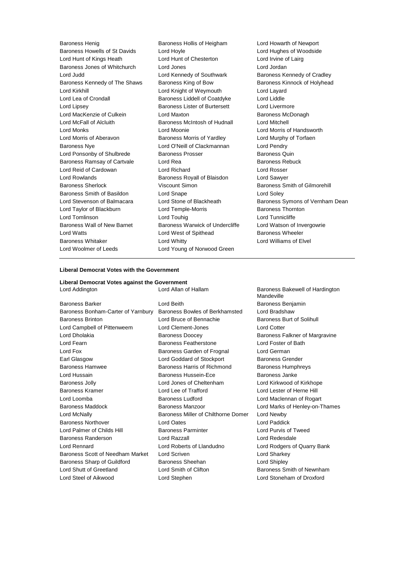Baroness Henig Baroness Hollis of Heigham Lord Howarth of Newport Baroness Howells of St Davids Lord Hoyle Lord Hughes of Woodside Lord Hunt of Kings Heath Lord Hunt of Chesterton Lord Irvine of Lairg Baroness Jones of Whitchurch Lord Jones Lord Jordan Lord Judd **Lord Kennedy of Southwark** Baroness Kennedy of Cradley Baroness Kennedy of The Shaws Baroness King of Bow Baroness Kinnock of Holyhead Lord Kirkhill Lord Knight of Weymouth Lord Layard Lord Lea of Crondall Baroness Liddell of Coatdyke Lord Liddle Lord Lipsey Baroness Lister of Burtersett Lord Livermore Lord MacKenzie of Culkein **Lord Maxton** Lord Maxton **Baroness McDonagh** Lord McFall of Alcluith Baroness McIntosh of Hudnall Lord Mitchell Lord Monks Lord Moonie Lord Morris of Handsworth Lord Morris of Aberavon Baroness Morris of Yardley Lord Murphy of Torfaen Baroness Nye Lord O'Neill of Clackmannan Lord Pendry Lord Ponsonby of Shulbrede Baroness Prosser Baroness Quin Baroness Ramsay of Cartvale Cord Rea Baroness Rebuck Lord Reid of Cardowan Lord Richard Lord Rosser Lord Rowlands **Baroness Royall of Blaisdon** Lord Sawyer Baroness Sherlock Viscount Simon Baroness Smith of Gilmorehill Baroness Smith of Basildon Lord Snape Lord Soley Lord Stevenson of Balmacara Lord Stone of Blackheath Baroness Symons of Vernham Dean Lord Taylor of Blackburn **Lord Temple-Morris** Baroness Thornton Lord Tomlinson Lord Touhig Lord Tunnicliffe Baroness Wall of New Barnet Baroness Warwick of Undercliffe Lord Watson of Invergowrie Lord Watts **Lord West of Spithead** Baroness Wheeler Baroness Whitaker Lord Whitty Lord Williams of Elvel Lord Woolmer of Leeds **Lord Young of Norwood Green** 

#### **Liberal Democrat Votes with the Government**

#### **Liberal Democrat Votes against the Government**

Lord Addington **Lord Allan of Hallam** Baroness Bakewell of Hardington Baroness Barker **Communist Construction Construction** Lord Beith **Baroness Benjamin** Baroness Bonham-Carter of Yarnbury Baroness Bowles of Berkhamsted Lord Bradshaw Baroness Brinton **Baroness Brinton** Lord Bruce of Bennachie Baroness Burt of Solihull Lord Campbell of Pittenweem Lord Clement-Jones Lord Cotter Lord Dholakia **Baroness Doocey** Baroness Falkner of Margravine Lord Fearn Baroness Featherstone Lord Foster of Bath Lord Fox Baroness Garden of Frognal Lord German Earl Glasgow **Lord Goddard of Stockport** Baroness Grender Baroness Hamwee **Baroness Harris of Richmond** Baroness Humphreys Lord Hussain Baroness Hussein-Ece Baroness Janke Baroness Jolly Lord Jones of Cheltenham Lord Kirkwood of Kirkhope Baroness Kramer Lord Lee of Trafford Lord Lester of Herne Hill Lord Loomba **Baroness Ludford Baroness Ludford Lord Maclennan of Rogart** Baroness Maddock Baroness Manzoor Lord Marks of Henley-on-Thames Lord McNally Baroness Miller of Chilthorne Domer Lord Newby Baroness Northover Lord Oates Lord Paddick Lord Palmer of Childs Hill Baroness Parminter Lord Purvis of Tweed Baroness Randerson Lord Razzall Lord Redesdale Lord Rennard Lord Roberts of Llandudno Lord Rodgers of Quarry Bank Baroness Scott of Needham Market Lord Scriven Lord Sharkey Lord Sharkey Baroness Sharp of Guildford Baroness Sheehan Baroness Sheehan Lord Shipley Lord Shutt of Greetland Lord Smith of Clifton Baroness Smith of Newnham Lord Steel of Aikwood Lord Stephen Lord Stoneham of Droxford

**Mandeville**